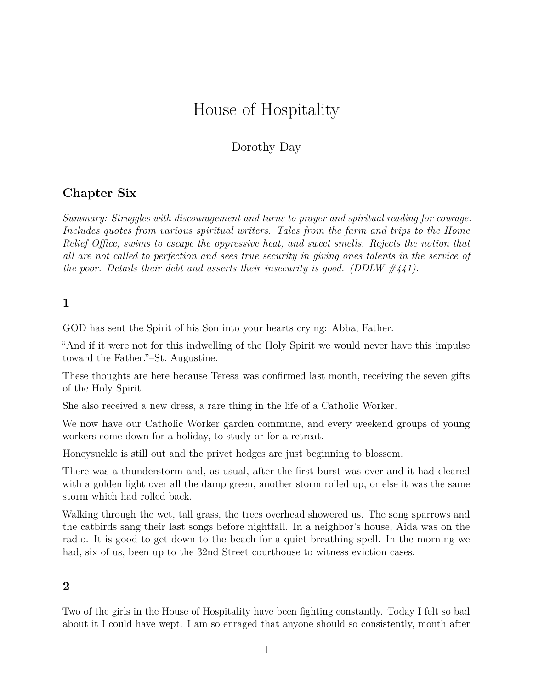# House of Hospitality

## Dorothy Day

### **Chapter Six**

*Summary: Struggles with discouragement and turns to prayer and spiritual reading for courage. Includes quotes from various spiritual writers. Tales from the farm and trips to the Home Relief Office, swims to escape the oppressive heat, and sweet smells. Rejects the notion that all are not called to perfection and sees true security in giving ones talents in the service of the poor. Details their debt and asserts their insecurity is good. (DDLW #441).*

#### **1**

GOD has sent the Spirit of his Son into your hearts crying: Abba, Father.

"And if it were not for this indwelling of the Holy Spirit we would never have this impulse toward the Father."–St. Augustine.

These thoughts are here because Teresa was confirmed last month, receiving the seven gifts of the Holy Spirit.

She also received a new dress, a rare thing in the life of a Catholic Worker.

We now have our Catholic Worker garden commune, and every weekend groups of young workers come down for a holiday, to study or for a retreat.

Honeysuckle is still out and the privet hedges are just beginning to blossom.

There was a thunderstorm and, as usual, after the first burst was over and it had cleared with a golden light over all the damp green, another storm rolled up, or else it was the same storm which had rolled back.

Walking through the wet, tall grass, the trees overhead showered us. The song sparrows and the catbirds sang their last songs before nightfall. In a neighbor's house, Aida was on the radio. It is good to get down to the beach for a quiet breathing spell. In the morning we had, six of us, been up to the 32nd Street courthouse to witness eviction cases.

#### **2**

Two of the girls in the House of Hospitality have been fighting constantly. Today I felt so bad about it I could have wept. I am so enraged that anyone should so consistently, month after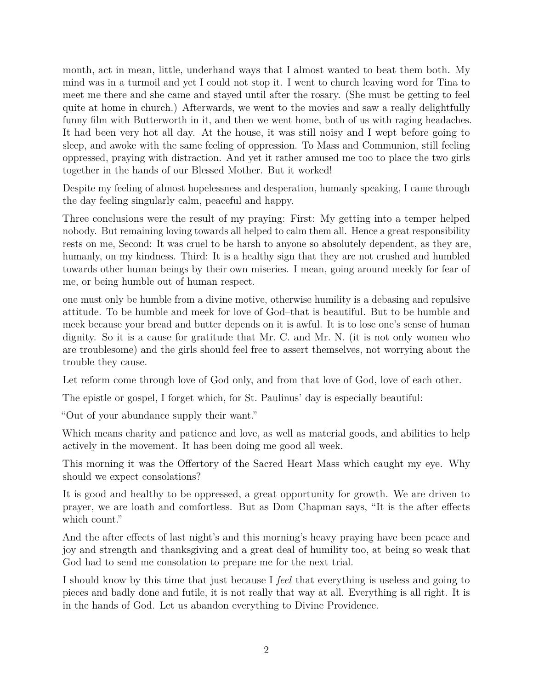month, act in mean, little, underhand ways that I almost wanted to beat them both. My mind was in a turmoil and yet I could not stop it. I went to church leaving word for Tina to meet me there and she came and stayed until after the rosary. (She must be getting to feel quite at home in church.) Afterwards, we went to the movies and saw a really delightfully funny film with Butterworth in it, and then we went home, both of us with raging headaches. It had been very hot all day. At the house, it was still noisy and I wept before going to sleep, and awoke with the same feeling of oppression. To Mass and Communion, still feeling oppressed, praying with distraction. And yet it rather amused me too to place the two girls together in the hands of our Blessed Mother. But it worked!

Despite my feeling of almost hopelessness and desperation, humanly speaking, I came through the day feeling singularly calm, peaceful and happy.

Three conclusions were the result of my praying: First: My getting into a temper helped nobody. But remaining loving towards all helped to calm them all. Hence a great responsibility rests on me, Second: It was cruel to be harsh to anyone so absolutely dependent, as they are, humanly, on my kindness. Third: It is a healthy sign that they are not crushed and humbled towards other human beings by their own miseries. I mean, going around meekly for fear of me, or being humble out of human respect.

one must only be humble from a divine motive, otherwise humility is a debasing and repulsive attitude. To be humble and meek for love of God–that is beautiful. But to be humble and meek because your bread and butter depends on it is awful. It is to lose one's sense of human dignity. So it is a cause for gratitude that Mr. C. and Mr. N. (it is not only women who are troublesome) and the girls should feel free to assert themselves, not worrying about the trouble they cause.

Let reform come through love of God only, and from that love of God, love of each other.

The epistle or gospel, I forget which, for St. Paulinus' day is especially beautiful:

"Out of your abundance supply their want."

Which means charity and patience and love, as well as material goods, and abilities to help actively in the movement. It has been doing me good all week.

This morning it was the Offertory of the Sacred Heart Mass which caught my eye. Why should we expect consolations?

It is good and healthy to be oppressed, a great opportunity for growth. We are driven to prayer, we are loath and comfortless. But as Dom Chapman says, "It is the after effects which count."

And the after effects of last night's and this morning's heavy praying have been peace and joy and strength and thanksgiving and a great deal of humility too, at being so weak that God had to send me consolation to prepare me for the next trial.

I should know by this time that just because I *feel* that everything is useless and going to pieces and badly done and futile, it is not really that way at all. Everything is all right. It is in the hands of God. Let us abandon everything to Divine Providence.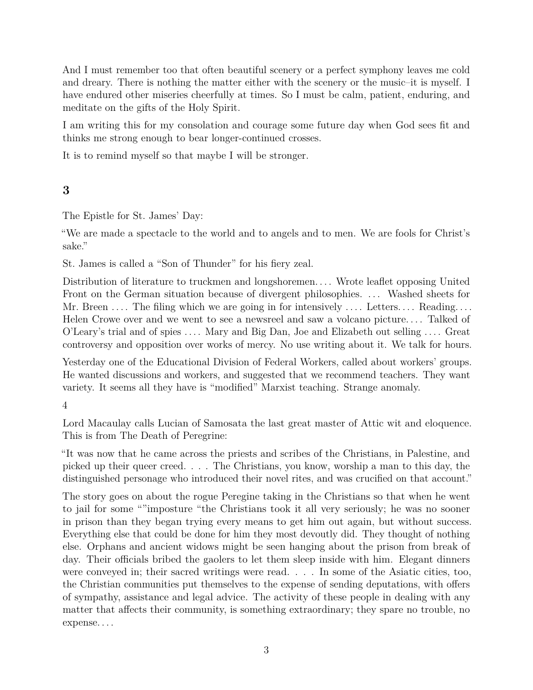And I must remember too that often beautiful scenery or a perfect symphony leaves me cold and dreary. There is nothing the matter either with the scenery or the music–it is myself. I have endured other miseries cheerfully at times. So I must be calm, patient, enduring, and meditate on the gifts of the Holy Spirit.

I am writing this for my consolation and courage some future day when God sees fit and thinks me strong enough to bear longer-continued crosses.

It is to remind myself so that maybe I will be stronger.

# **3**

The Epistle for St. James' Day:

"We are made a spectacle to the world and to angels and to men. We are fools for Christ's sake."

St. James is called a "Son of Thunder" for his fiery zeal.

Distribution of literature to truckmen and longshoremen.... Wrote leaflet opposing United Front on the German situation because of divergent philosophies. . . . Washed sheets for Mr. Breen .... The filing which we are going in for intensively  $\dots$ . Letters.... Reading... Helen Crowe over and we went to see a newsreel and saw a volcano picture.... Talked of O'Leary's trial and of spies .... Mary and Big Dan, Joe and Elizabeth out selling .... Great controversy and opposition over works of mercy. No use writing about it. We talk for hours.

Yesterday one of the Educational Division of Federal Workers, called about workers' groups. He wanted discussions and workers, and suggested that we recommend teachers. They want variety. It seems all they have is "modified" Marxist teaching. Strange anomaly.

4

Lord Macaulay calls Lucian of Samosata the last great master of Attic wit and eloquence. This is from The Death of Peregrine:

"It was now that he came across the priests and scribes of the Christians, in Palestine, and picked up their queer creed. . . . The Christians, you know, worship a man to this day, the distinguished personage who introduced their novel rites, and was crucified on that account."

The story goes on about the rogue Peregine taking in the Christians so that when he went to jail for some ""imposture "the Christians took it all very seriously; he was no sooner in prison than they began trying every means to get him out again, but without success. Everything else that could be done for him they most devoutly did. They thought of nothing else. Orphans and ancient widows might be seen hanging about the prison from break of day. Their officials bribed the gaolers to let them sleep inside with him. Elegant dinners were conveyed in; their sacred writings were read. . . . In some of the Asiatic cities, too, the Christian communities put themselves to the expense of sending deputations, with offers of sympathy, assistance and legal advice. The activity of these people in dealing with any matter that affects their community, is something extraordinary; they spare no trouble, no expense. . . .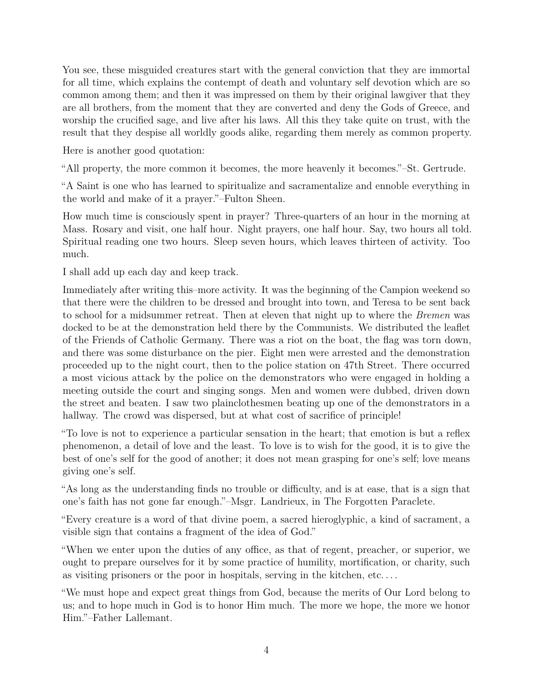You see, these misguided creatures start with the general conviction that they are immortal for all time, which explains the contempt of death and voluntary self devotion which are so common among them; and then it was impressed on them by their original lawgiver that they are all brothers, from the moment that they are converted and deny the Gods of Greece, and worship the crucified sage, and live after his laws. All this they take quite on trust, with the result that they despise all worldly goods alike, regarding them merely as common property.

Here is another good quotation:

"All property, the more common it becomes, the more heavenly it becomes."–St. Gertrude.

"A Saint is one who has learned to spiritualize and sacramentalize and ennoble everything in the world and make of it a prayer."–Fulton Sheen.

How much time is consciously spent in prayer? Three-quarters of an hour in the morning at Mass. Rosary and visit, one half hour. Night prayers, one half hour. Say, two hours all told. Spiritual reading one two hours. Sleep seven hours, which leaves thirteen of activity. Too much.

I shall add up each day and keep track.

Immediately after writing this–more activity. It was the beginning of the Campion weekend so that there were the children to be dressed and brought into town, and Teresa to be sent back to school for a midsummer retreat. Then at eleven that night up to where the *Bremen* was docked to be at the demonstration held there by the Communists. We distributed the leaflet of the Friends of Catholic Germany. There was a riot on the boat, the flag was torn down, and there was some disturbance on the pier. Eight men were arrested and the demonstration proceeded up to the night court, then to the police station on 47th Street. There occurred a most vicious attack by the police on the demonstrators who were engaged in holding a meeting outside the court and singing songs. Men and women were dubbed, driven down the street and beaten. I saw two plainclothesmen beating up one of the demonstrators in a hallway. The crowd was dispersed, but at what cost of sacrifice of principle!

"To love is not to experience a particular sensation in the heart; that emotion is but a reflex phenomenon, a detail of love and the least. To love is to wish for the good, it is to give the best of one's self for the good of another; it does not mean grasping for one's self; love means giving one's self.

"As long as the understanding finds no trouble or difficulty, and is at ease, that is a sign that one's faith has not gone far enough."–Msgr. Landrieux, in The Forgotten Paraclete.

"Every creature is a word of that divine poem, a sacred hieroglyphic, a kind of sacrament, a visible sign that contains a fragment of the idea of God."

"When we enter upon the duties of any office, as that of regent, preacher, or superior, we ought to prepare ourselves for it by some practice of humility, mortification, or charity, such as visiting prisoners or the poor in hospitals, serving in the kitchen, etc. . . .

"We must hope and expect great things from God, because the merits of Our Lord belong to us; and to hope much in God is to honor Him much. The more we hope, the more we honor Him."–Father Lallemant.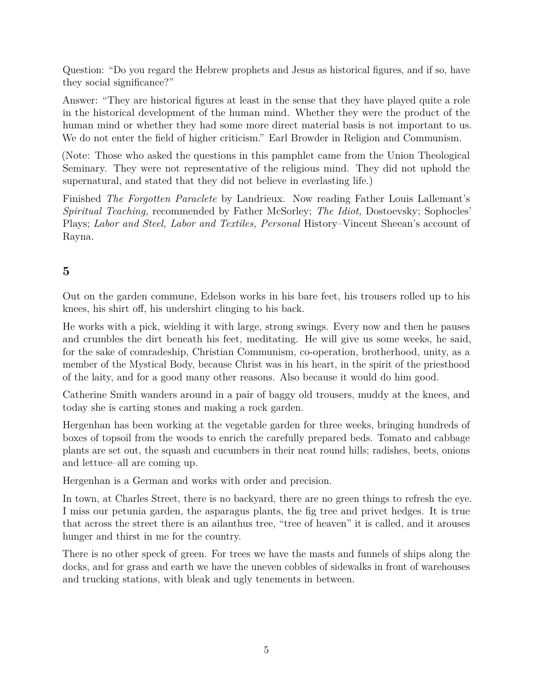Question: "Do you regard the Hebrew prophets and Jesus as historical figures, and if so, have they social significance?"

Answer: "They are historical figures at least in the sense that they have played quite a role in the historical development of the human mind. Whether they were the product of the human mind or whether they had some more direct material basis is not important to us. We do not enter the field of higher criticism." Earl Browder in Religion and Communism.

(Note: Those who asked the questions in this pamphlet came from the Union Theological Seminary. They were not representative of the religious mind. They did not uphold the supernatural, and stated that they did not believe in everlasting life.)

Finished *The Forgotten Paraclete* by Landrieux. Now reading Father Louis Lallemant's *Spiritual Teaching,* recommended by Father McSorley; *The Idiot,* Dostoevsky; Sophocles' Plays; *Labor and Steel, Labor and Textiles, Personal* History–Vincent Sheean's account of Rayna.

# **5**

Out on the garden commune, Edelson works in his bare feet, his trousers rolled up to his knees, his shirt off, his undershirt clinging to his back.

He works with a pick, wielding it with large, strong swings. Every now and then he pauses and crumbles the dirt beneath his feet, meditating. He will give us some weeks, he said, for the sake of comradeship, Christian Communism, co-operation, brotherhood, unity, as a member of the Mystical Body, because Christ was in his heart, in the spirit of the priesthood of the laity, and for a good many other reasons. Also because it would do him good.

Catherine Smith wanders around in a pair of baggy old trousers, muddy at the knees, and today she is carting stones and making a rock garden.

Hergenhan has been working at the vegetable garden for three weeks, bringing hundreds of boxes of topsoil from the woods to enrich the carefully prepared beds. Tomato and cabbage plants are set out, the squash and cucumbers in their neat round hills; radishes, beets, onions and lettuce–all are coming up.

Hergenhan is a German and works with order and precision.

In town, at Charles Street, there is no backyard, there are no green things to refresh the eye. I miss our petunia garden, the asparagus plants, the fig tree and privet hedges. It is true that across the street there is an ailanthus tree, "tree of heaven" it is called, and it arouses hunger and thirst in me for the country.

There is no other speck of green. For trees we have the masts and funnels of ships along the docks, and for grass and earth we have the uneven cobbles of sidewalks in front of warehouses and trucking stations, with bleak and ugly tenements in between.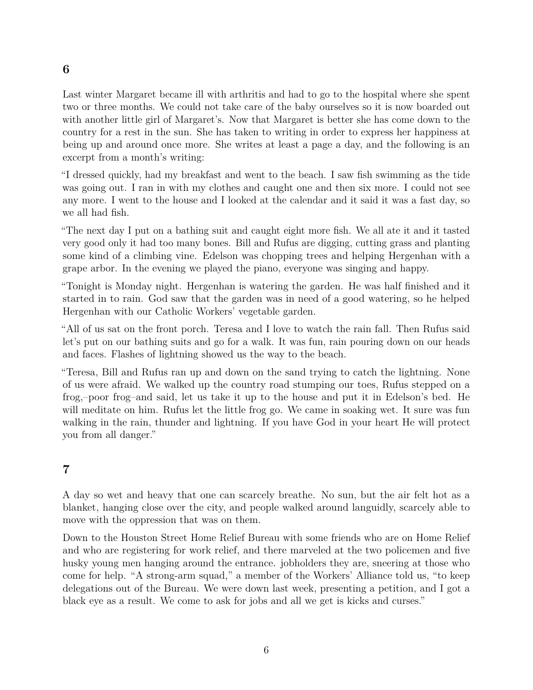#### Last winter Margaret became ill with arthritis and had to go to the hospital where she spent two or three months. We could not take care of the baby ourselves so it is now boarded out with another little girl of Margaret's. Now that Margaret is better she has come down to the country for a rest in the sun. She has taken to writing in order to express her happiness at being up and around once more. She writes at least a page a day, and the following is an excerpt from a month's writing:

"I dressed quickly, had my breakfast and went to the beach. I saw fish swimming as the tide was going out. I ran in with my clothes and caught one and then six more. I could not see any more. I went to the house and I looked at the calendar and it said it was a fast day, so we all had fish.

"The next day I put on a bathing suit and caught eight more fish. We all ate it and it tasted very good only it had too many bones. Bill and Rufus are digging, cutting grass and planting some kind of a climbing vine. Edelson was chopping trees and helping Hergenhan with a grape arbor. In the evening we played the piano, everyone was singing and happy.

"Tonight is Monday night. Hergenhan is watering the garden. He was half finished and it started in to rain. God saw that the garden was in need of a good watering, so he helped Hergenhan with our Catholic Workers' vegetable garden.

"All of us sat on the front porch. Teresa and I love to watch the rain fall. Then Rufus said let's put on our bathing suits and go for a walk. It was fun, rain pouring down on our heads and faces. Flashes of lightning showed us the way to the beach.

"Teresa, Bill and Rufus ran up and down on the sand trying to catch the lightning. None of us were afraid. We walked up the country road stumping our toes, Rufus stepped on a frog,–poor frog–and said, let us take it up to the house and put it in Edelson's bed. He will meditate on him. Rufus let the little frog go. We came in soaking wet. It sure was fun walking in the rain, thunder and lightning. If you have God in your heart He will protect you from all danger."

#### **7**

A day so wet and heavy that one can scarcely breathe. No sun, but the air felt hot as a blanket, hanging close over the city, and people walked around languidly, scarcely able to move with the oppression that was on them.

Down to the Houston Street Home Relief Bureau with some friends who are on Home Relief and who are registering for work relief, and there marveled at the two policemen and five husky young men hanging around the entrance. jobholders they are, sneering at those who come for help. "A strong-arm squad," a member of the Workers' Alliance told us, "to keep delegations out of the Bureau. We were down last week, presenting a petition, and I got a black eye as a result. We come to ask for jobs and all we get is kicks and curses."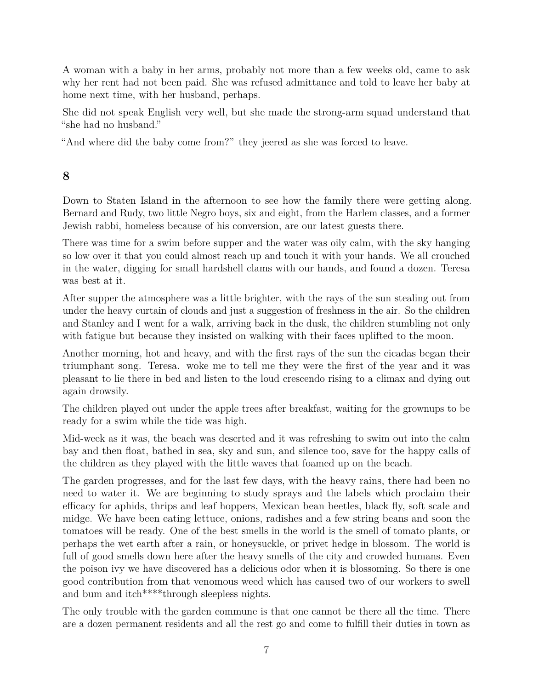A woman with a baby in her arms, probably not more than a few weeks old, came to ask why her rent had not been paid. She was refused admittance and told to leave her baby at home next time, with her husband, perhaps.

She did not speak English very well, but she made the strong-arm squad understand that "she had no husband."

"And where did the baby come from?" they jeered as she was forced to leave.

## **8**

Down to Staten Island in the afternoon to see how the family there were getting along. Bernard and Rudy, two little Negro boys, six and eight, from the Harlem classes, and a former Jewish rabbi, homeless because of his conversion, are our latest guests there.

There was time for a swim before supper and the water was oily calm, with the sky hanging so low over it that you could almost reach up and touch it with your hands. We all crouched in the water, digging for small hardshell clams with our hands, and found a dozen. Teresa was best at it.

After supper the atmosphere was a little brighter, with the rays of the sun stealing out from under the heavy curtain of clouds and just a suggestion of freshness in the air. So the children and Stanley and I went for a walk, arriving back in the dusk, the children stumbling not only with fatigue but because they insisted on walking with their faces uplifted to the moon.

Another morning, hot and heavy, and with the first rays of the sun the cicadas began their triumphant song. Teresa. woke me to tell me they were the first of the year and it was pleasant to lie there in bed and listen to the loud crescendo rising to a climax and dying out again drowsily.

The children played out under the apple trees after breakfast, waiting for the grownups to be ready for a swim while the tide was high.

Mid-week as it was, the beach was deserted and it was refreshing to swim out into the calm bay and then float, bathed in sea, sky and sun, and silence too, save for the happy calls of the children as they played with the little waves that foamed up on the beach.

The garden progresses, and for the last few days, with the heavy rains, there had been no need to water it. We are beginning to study sprays and the labels which proclaim their efficacy for aphids, thrips and leaf hoppers, Mexican bean beetles, black fly, soft scale and midge. We have been eating lettuce, onions, radishes and a few string beans and soon the tomatoes will be ready. One of the best smells in the world is the smell of tomato plants, or perhaps the wet earth after a rain, or honeysuckle, or privet hedge in blossom. The world is full of good smells down here after the heavy smells of the city and crowded humans. Even the poison ivy we have discovered has a delicious odor when it is blossoming. So there is one good contribution from that venomous weed which has caused two of our workers to swell and bum and itch\*\*\*\*through sleepless nights.

The only trouble with the garden commune is that one cannot be there all the time. There are a dozen permanent residents and all the rest go and come to fulfill their duties in town as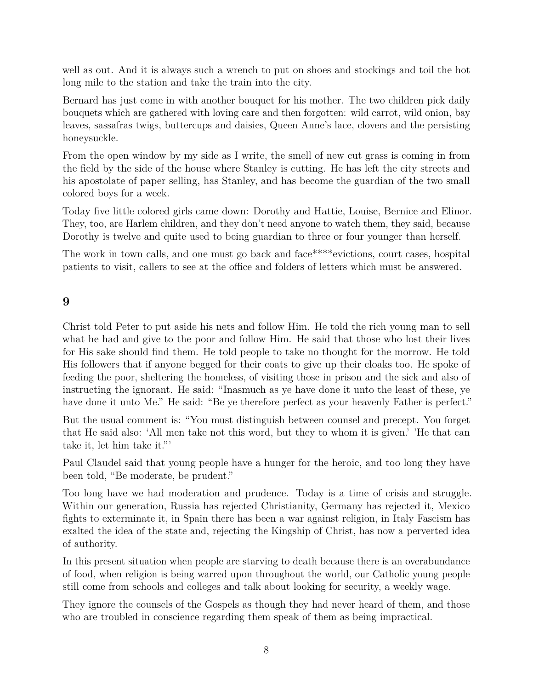well as out. And it is always such a wrench to put on shoes and stockings and toil the hot long mile to the station and take the train into the city.

Bernard has just come in with another bouquet for his mother. The two children pick daily bouquets which are gathered with loving care and then forgotten: wild carrot, wild onion, bay leaves, sassafras twigs, buttercups and daisies, Queen Anne's lace, clovers and the persisting honeysuckle.

From the open window by my side as I write, the smell of new cut grass is coming in from the field by the side of the house where Stanley is cutting. He has left the city streets and his apostolate of paper selling, has Stanley, and has become the guardian of the two small colored boys for a week.

Today five little colored girls came down: Dorothy and Hattie, Louise, Bernice and Elinor. They, too, are Harlem children, and they don't need anyone to watch them, they said, because Dorothy is twelve and quite used to being guardian to three or four younger than herself.

The work in town calls, and one must go back and face\*\*\*\*evictions, court cases, hospital patients to visit, callers to see at the office and folders of letters which must be answered.

#### **9**

Christ told Peter to put aside his nets and follow Him. He told the rich young man to sell what he had and give to the poor and follow Him. He said that those who lost their lives for His sake should find them. He told people to take no thought for the morrow. He told His followers that if anyone begged for their coats to give up their cloaks too. He spoke of feeding the poor, sheltering the homeless, of visiting those in prison and the sick and also of instructing the ignorant. He said: "Inasmuch as ye have done it unto the least of these, ye have done it unto Me." He said: "Be ye therefore perfect as your heavenly Father is perfect."

But the usual comment is: "You must distinguish between counsel and precept. You forget that He said also: 'All men take not this word, but they to whom it is given.' 'He that can take it, let him take it."'

Paul Claudel said that young people have a hunger for the heroic, and too long they have been told, "Be moderate, be prudent."

Too long have we had moderation and prudence. Today is a time of crisis and struggle. Within our generation, Russia has rejected Christianity, Germany has rejected it, Mexico fights to exterminate it, in Spain there has been a war against religion, in Italy Fascism has exalted the idea of the state and, rejecting the Kingship of Christ, has now a perverted idea of authority.

In this present situation when people are starving to death because there is an overabundance of food, when religion is being warred upon throughout the world, our Catholic young people still come from schools and colleges and talk about looking for security, a weekly wage.

They ignore the counsels of the Gospels as though they had never heard of them, and those who are troubled in conscience regarding them speak of them as being impractical.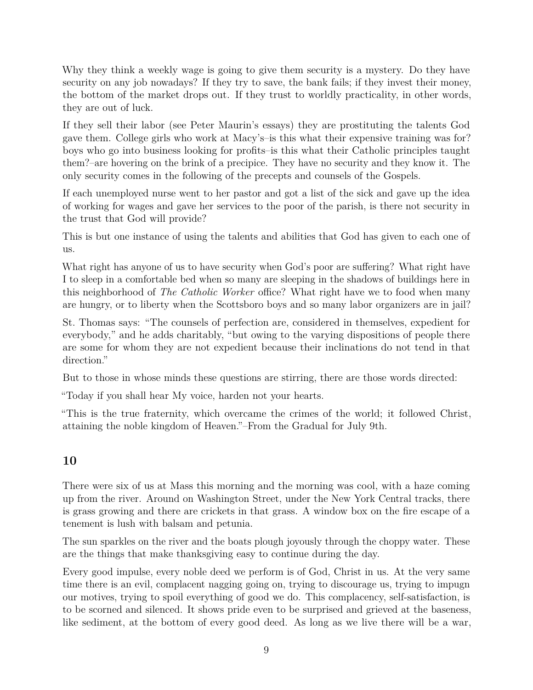Why they think a weekly wage is going to give them security is a mystery. Do they have security on any job nowadays? If they try to save, the bank fails; if they invest their money, the bottom of the market drops out. If they trust to worldly practicality, in other words, they are out of luck.

If they sell their labor (see Peter Maurin's essays) they are prostituting the talents God gave them. College girls who work at Macy's–is this what their expensive training was for? boys who go into business looking for profits–is this what their Catholic principles taught them?–are hovering on the brink of a precipice. They have no security and they know it. The only security comes in the following of the precepts and counsels of the Gospels.

If each unemployed nurse went to her pastor and got a list of the sick and gave up the idea of working for wages and gave her services to the poor of the parish, is there not security in the trust that God will provide?

This is but one instance of using the talents and abilities that God has given to each one of us.

What right has anyone of us to have security when God's poor are suffering? What right have I to sleep in a comfortable bed when so many are sleeping in the shadows of buildings here in this neighborhood of *The Catholic Worker* office? What right have we to food when many are hungry, or to liberty when the Scottsboro boys and so many labor organizers are in jail?

St. Thomas says: "The counsels of perfection are, considered in themselves, expedient for everybody," and he adds charitably, "but owing to the varying dispositions of people there are some for whom they are not expedient because their inclinations do not tend in that direction."

But to those in whose minds these questions are stirring, there are those words directed:

"Today if you shall hear My voice, harden not your hearts.

"This is the true fraternity, which overcame the crimes of the world; it followed Christ, attaining the noble kingdom of Heaven."–From the Gradual for July 9th.

# **10**

There were six of us at Mass this morning and the morning was cool, with a haze coming up from the river. Around on Washington Street, under the New York Central tracks, there is grass growing and there are crickets in that grass. A window box on the fire escape of a tenement is lush with balsam and petunia.

The sun sparkles on the river and the boats plough joyously through the choppy water. These are the things that make thanksgiving easy to continue during the day.

Every good impulse, every noble deed we perform is of God, Christ in us. At the very same time there is an evil, complacent nagging going on, trying to discourage us, trying to impugn our motives, trying to spoil everything of good we do. This complacency, self-satisfaction, is to be scorned and silenced. It shows pride even to be surprised and grieved at the baseness, like sediment, at the bottom of every good deed. As long as we live there will be a war,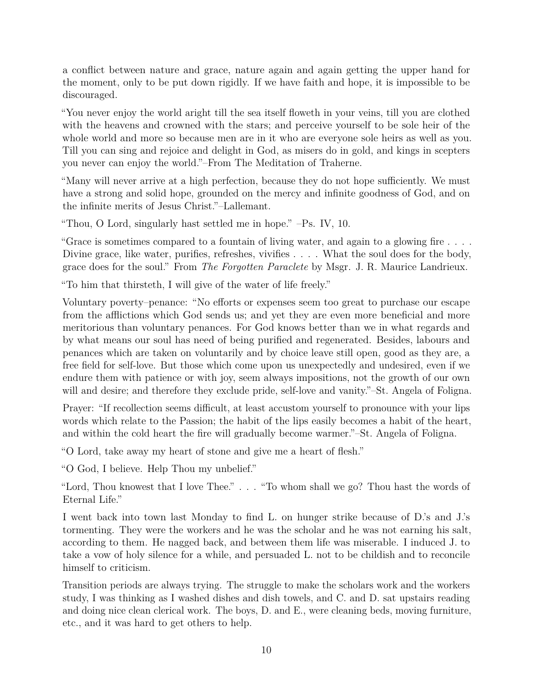a conflict between nature and grace, nature again and again getting the upper hand for the moment, only to be put down rigidly. If we have faith and hope, it is impossible to be discouraged.

"You never enjoy the world aright till the sea itself floweth in your veins, till you are clothed with the heavens and crowned with the stars; and perceive yourself to be sole heir of the whole world and more so because men are in it who are everyone sole heirs as well as you. Till you can sing and rejoice and delight in God, as misers do in gold, and kings in scepters you never can enjoy the world."–From The Meditation of Traherne.

"Many will never arrive at a high perfection, because they do not hope sufficiently. We must have a strong and solid hope, grounded on the mercy and infinite goodness of God, and on the infinite merits of Jesus Christ."–Lallemant.

"Thou, O Lord, singularly hast settled me in hope." –Ps. IV, 10.

"Grace is sometimes compared to a fountain of living water, and again to a glowing fire . . . . Divine grace, like water, purifies, refreshes, vivifies  $\dots$ . What the soul does for the body, grace does for the soul." From *The Forgotten Paraclete* by Msgr. J. R. Maurice Landrieux.

"To him that thirsteth, I will give of the water of life freely."

Voluntary poverty–penance: "No efforts or expenses seem too great to purchase our escape from the afflictions which God sends us; and yet they are even more beneficial and more meritorious than voluntary penances. For God knows better than we in what regards and by what means our soul has need of being purified and regenerated. Besides, labours and penances which are taken on voluntarily and by choice leave still open, good as they are, a free field for self-love. But those which come upon us unexpectedly and undesired, even if we endure them with patience or with joy, seem always impositions, not the growth of our own will and desire; and therefore they exclude pride, self-love and vanity."–St. Angela of Foligna.

Prayer: "If recollection seems difficult, at least accustom yourself to pronounce with your lips words which relate to the Passion; the habit of the lips easily becomes a habit of the heart, and within the cold heart the fire will gradually become warmer."–St. Angela of Foligna.

"O Lord, take away my heart of stone and give me a heart of flesh."

"O God, I believe. Help Thou my unbelief."

"Lord, Thou knowest that I love Thee." . . . "To whom shall we go? Thou hast the words of Eternal Life."

I went back into town last Monday to find L. on hunger strike because of D.'s and J.'s tormenting. They were the workers and he was the scholar and he was not earning his salt, according to them. He nagged back, and between them life was miserable. I induced J. to take a vow of holy silence for a while, and persuaded L. not to be childish and to reconcile himself to criticism.

Transition periods are always trying. The struggle to make the scholars work and the workers study, I was thinking as I washed dishes and dish towels, and C. and D. sat upstairs reading and doing nice clean clerical work. The boys, D. and E., were cleaning beds, moving furniture, etc., and it was hard to get others to help.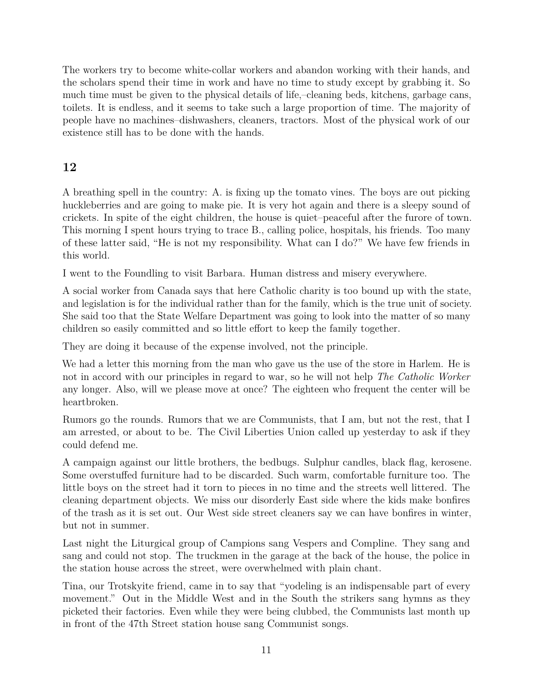The workers try to become white-collar workers and abandon working with their hands, and the scholars spend their time in work and have no time to study except by grabbing it. So much time must be given to the physical details of life,–cleaning beds, kitchens, garbage cans, toilets. It is endless, and it seems to take such a large proportion of time. The majority of people have no machines–dishwashers, cleaners, tractors. Most of the physical work of our existence still has to be done with the hands.

## **12**

A breathing spell in the country: A. is fixing up the tomato vines. The boys are out picking huckleberries and are going to make pie. It is very hot again and there is a sleepy sound of crickets. In spite of the eight children, the house is quiet–peaceful after the furore of town. This morning I spent hours trying to trace B., calling police, hospitals, his friends. Too many of these latter said, "He is not my responsibility. What can I do?" We have few friends in this world.

I went to the Foundling to visit Barbara. Human distress and misery everywhere.

A social worker from Canada says that here Catholic charity is too bound up with the state, and legislation is for the individual rather than for the family, which is the true unit of society. She said too that the State Welfare Department was going to look into the matter of so many children so easily committed and so little effort to keep the family together.

They are doing it because of the expense involved, not the principle.

We had a letter this morning from the man who gave us the use of the store in Harlem. He is not in accord with our principles in regard to war, so he will not help *The Catholic Worker* any longer. Also, will we please move at once? The eighteen who frequent the center will be heartbroken.

Rumors go the rounds. Rumors that we are Communists, that I am, but not the rest, that I am arrested, or about to be. The Civil Liberties Union called up yesterday to ask if they could defend me.

A campaign against our little brothers, the bedbugs. Sulphur candles, black flag, kerosene. Some overstuffed furniture had to be discarded. Such warm, comfortable furniture too. The little boys on the street had it torn to pieces in no time and the streets well littered. The cleaning department objects. We miss our disorderly East side where the kids make bonfires of the trash as it is set out. Our West side street cleaners say we can have bonfires in winter, but not in summer.

Last night the Liturgical group of Campions sang Vespers and Compline. They sang and sang and could not stop. The truckmen in the garage at the back of the house, the police in the station house across the street, were overwhelmed with plain chant.

Tina, our Trotskyite friend, came in to say that "yodeling is an indispensable part of every movement." Out in the Middle West and in the South the strikers sang hymns as they picketed their factories. Even while they were being clubbed, the Communists last month up in front of the 47th Street station house sang Communist songs.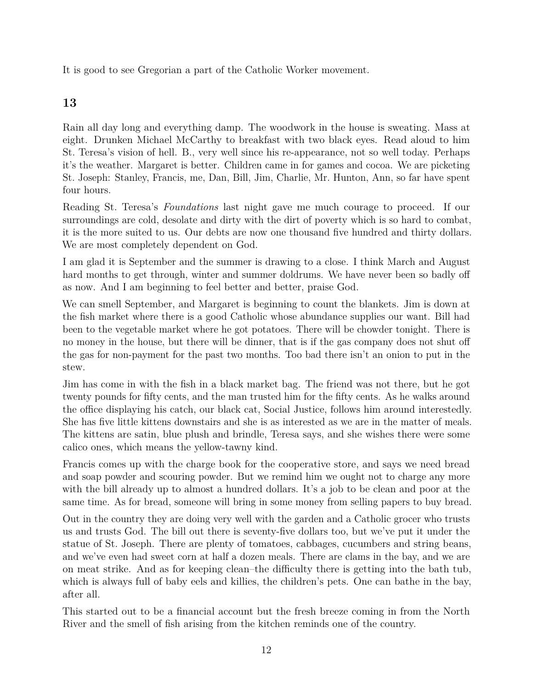It is good to see Gregorian a part of the Catholic Worker movement.

## **13**

Rain all day long and everything damp. The woodwork in the house is sweating. Mass at eight. Drunken Michael McCarthy to breakfast with two black eyes. Read aloud to him St. Teresa's vision of hell. B., very well since his re-appearance, not so well today. Perhaps it's the weather. Margaret is better. Children came in for games and cocoa. We are picketing St. Joseph: Stanley, Francis, me, Dan, Bill, Jim, Charlie, Mr. Hunton, Ann, so far have spent four hours.

Reading St. Teresa's *Foundations* last night gave me much courage to proceed. If our surroundings are cold, desolate and dirty with the dirt of poverty which is so hard to combat, it is the more suited to us. Our debts are now one thousand five hundred and thirty dollars. We are most completely dependent on God.

I am glad it is September and the summer is drawing to a close. I think March and August hard months to get through, winter and summer doldrums. We have never been so badly off as now. And I am beginning to feel better and better, praise God.

We can smell September, and Margaret is beginning to count the blankets. Jim is down at the fish market where there is a good Catholic whose abundance supplies our want. Bill had been to the vegetable market where he got potatoes. There will be chowder tonight. There is no money in the house, but there will be dinner, that is if the gas company does not shut off the gas for non-payment for the past two months. Too bad there isn't an onion to put in the stew.

Jim has come in with the fish in a black market bag. The friend was not there, but he got twenty pounds for fifty cents, and the man trusted him for the fifty cents. As he walks around the office displaying his catch, our black cat, Social Justice, follows him around interestedly. She has five little kittens downstairs and she is as interested as we are in the matter of meals. The kittens are satin, blue plush and brindle, Teresa says, and she wishes there were some calico ones, which means the yellow-tawny kind.

Francis comes up with the charge book for the cooperative store, and says we need bread and soap powder and scouring powder. But we remind him we ought not to charge any more with the bill already up to almost a hundred dollars. It's a job to be clean and poor at the same time. As for bread, someone will bring in some money from selling papers to buy bread.

Out in the country they are doing very well with the garden and a Catholic grocer who trusts us and trusts God. The bill out there is seventy-five dollars too, but we've put it under the statue of St. Joseph. There are plenty of tomatoes, cabbages, cucumbers and string beans, and we've even had sweet corn at half a dozen meals. There are clams in the bay, and we are on meat strike. And as for keeping clean–the difficulty there is getting into the bath tub, which is always full of baby eels and killies, the children's pets. One can bathe in the bay, after all.

This started out to be a financial account but the fresh breeze coming in from the North River and the smell of fish arising from the kitchen reminds one of the country.